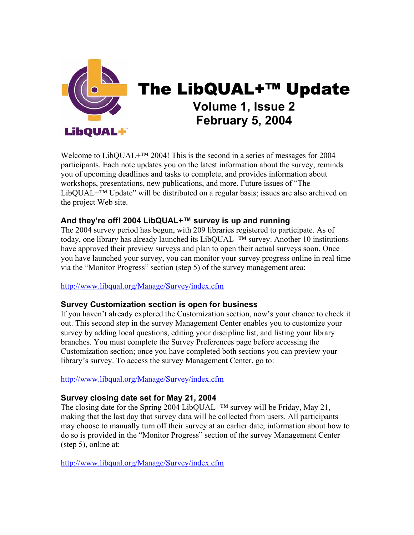

The LibQUAL+™ Update **Volume 1, Issue 2 February 5, 2004** 

Welcome to LibQUAL+™ 2004! This is the second in a series of messages for 2004 participants. Each note updates you on the latest information about the survey, reminds you of upcoming deadlines and tasks to complete, and provides information about workshops, presentations, new publications, and more. Future issues of "The LibQUAL+™ Update" will be distributed on a regular basis; issues are also archived on the project Web site.

# **And they're off! 2004 LibQUAL+™ survey is up and running**

The 2004 survey period has begun, with 209 libraries registered to participate. As of today, one library has already launched its  $LibQUAL+<sup>TM</sup>$  survey. Another 10 institutions have approved their preview surveys and plan to open their actual surveys soon. Once you have launched your survey, you can monitor your survey progress online in real time via the "Monitor Progress" section (step 5) of the survey management area:

# [http://www.libqual.org/Manage/Survey/index.cfm](http://old.libqual.org/Manage/Survey/index.cfm)

# **Survey Customization section is open for business**

If you haven't already explored the Customization section, now's your chance to check it out. This second step in the survey Management Center enables you to customize your survey by adding local questions, editing your discipline list, and listing your library branches. You must complete the Survey Preferences page before accessing the Customization section; once you have completed both sections you can preview your library's survey. To access the survey Management Center, go to:

#### [http://www.libqual.org/Manage/Survey/index.cfm](http://old.libqual.org/Manage/Survey/index.cfm)

# **Survey closing date set for May 21, 2004**

The closing date for the Spring 2004 LibQUAL+<sup>™</sup> survey will be Friday, May 21, making that the last day that survey data will be collected from users. All participants may choose to manually turn off their survey at an earlier date; information about how to do so is provided in the "Monitor Progress" section of the survey Management Center (step 5), online at:

[http://www.libqual.org/Manage/Survey/index.cfm](http://old.libqual.org/Manage/Survey/index.cfm)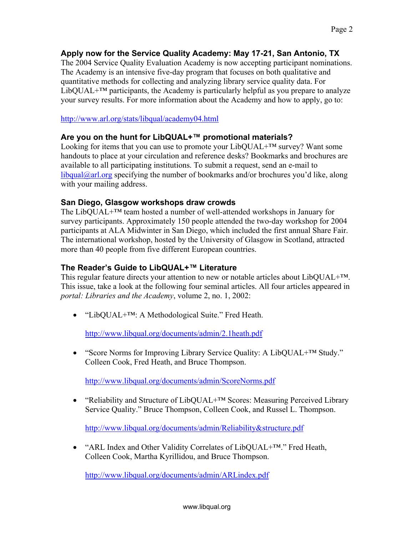# **Apply now for the Service Quality Academy: May 17-21, San Antonio, TX**

The 2004 Service Quality Evaluation Academy is now accepting participant nominations. The Academy is an intensive five-day program that focuses on both qualitative and quantitative methods for collecting and analyzing library service quality data. For  $LibOUAL+<sup>TM</sup>$  participants, the Academy is particularly helpful as you prepare to analyze your survey results. For more information about the Academy and how to apply, go to:

### <http://www.arl.org/stats/libqual/academy04.html>

# **Are you on the hunt for LibQUAL+™ promotional materials?**

Looking for items that you can use to promote your  $LibQUAL+<sup>TM</sup>$  survey? Want some handouts to place at your circulation and reference desks? Bookmarks and brochures are available to all participating institutions. To submit a request, send an e-mail to  $\h{libqual@arl.org}$  $\h{libqual@arl.org}$  $\h{libqual@arl.org}$  specifying the number of bookmarks and/or brochures you'd like, along with your mailing address.

### **San Diego, Glasgow workshops draw crowds**

The LibQUAL+™ team hosted a number of well-attended workshops in January for survey participants. Approximately 150 people attended the two-day workshop for 2004 participants at ALA Midwinter in San Diego, which included the first annual Share Fair. The international workshop, hosted by the University of Glasgow in Scotland, attracted more than 40 people from five different European countries.

# **The Reader's Guide to LibQUAL+™ Literature**

This regular feature directs your attention to new or notable articles about LibOUAL+<sup>TM</sup>. This issue, take a look at the following four seminal articles. All four articles appeared in *portal: Libraries and the Academy*, volume 2, no. 1, 2002:

• "LibQUAL+™: A Methodological Suite." Fred Heath.

[http://www.libqual.org/documents/admin/2.1heath.pdf](http://old.libqual.org/documents/admin/2.1heath.pdf)

• "Score Norms for Improving Library Service Quality: A LibQUAL+™ Study." Colleen Cook, Fred Heath, and Bruce Thompson.

[http://www.libqual.org/documents/admin/ScoreNorms.pdf](http://old.libqual.org/documents/admin/ScoreNorms.pdf)

• "Reliability and Structure of LibQUAL+™ Scores: Measuring Perceived Library Service Quality." Bruce Thompson, Colleen Cook, and Russel L. Thompson.

[http://www.libqual.org/documents/admin/Reliability&structure.pdf](http://old.libqual.org/documents/admin/Reliability&structure.pdf)

• "ARL Index and Other Validity Correlates of LibQUAL+™." Fred Heath, Colleen Cook, Martha Kyrillidou, and Bruce Thompson.

[http://www.libqual.org/documents/admin/ARLindex.pdf](http://old.libqual.org/documents/admin/ARLindex.pdf)